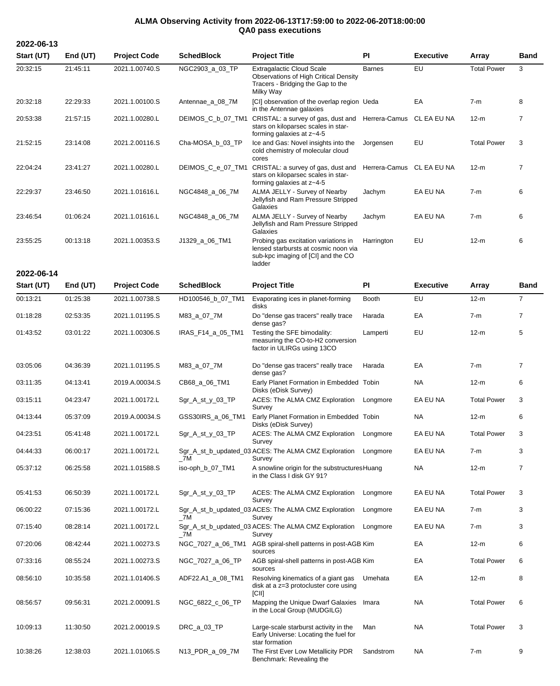## **ALMA Observing Activity from 2022-06-13T17:59:00 to 2022-06-20T18:00:00 QA0 pass executions**

| Start (UT) | End (UT) | <b>Project Code</b> | <b>SchedBlock</b> | <b>Project Title</b>                                                                                                         | PI            | <b>Executive</b> | Array              | <b>Band</b>    |
|------------|----------|---------------------|-------------------|------------------------------------------------------------------------------------------------------------------------------|---------------|------------------|--------------------|----------------|
| 20:32:15   | 21:45:11 | 2021.1.00740.S      | NGC2903_a_03_TP   | <b>Extragalactic Cloud Scale</b><br>Observations of High Critical Density<br>Tracers - Bridging the Gap to the<br>Milky Way  | <b>Barnes</b> | EU               | <b>Total Power</b> | 3              |
| 20:32:18   | 22:29:33 | 2021.1.00100.S      | Antennae_a_08_7M  | [CI] observation of the overlap region Ueda<br>in the Antennae galaxies                                                      |               | EA               | $7-m$              | 8              |
| 20:53:38   | 21:57:15 | 2021.1.00280.L      | DEIMOS_C_b_07_TM1 | CRISTAL: a survey of gas, dust and Herrera-Camus<br>stars on kiloparsec scales in star-<br>forming galaxies at z~4-5         |               | CL EA EU NA      | $12-m$             | $\overline{7}$ |
| 21:52:15   | 23:14:08 | 2021.2.00116.S      | Cha-MOSA_b_03_TP  | Ice and Gas: Novel insights into the<br>cold chemistry of molecular cloud<br>cores                                           | Jorgensen     | EU               | <b>Total Power</b> | 3              |
| 22:04:24   | 23:41:27 | 2021.1.00280.L      | DEIMOS_C_e_07_TM1 | CRISTAL: a survey of gas, dust and<br>stars on kiloparsec scales in star-<br>forming galaxies at z~4-5                       | Herrera-Camus | CL EA EU NA      | $12-m$             | $\overline{7}$ |
| 22:29:37   | 23:46.50 | 2021.1.01616.L      | NGC4848_a_06_7M   | ALMA JELLY - Survey of Nearby<br>Jellyfish and Ram Pressure Stripped<br>Galaxies                                             | Jachym        | EA EU NA         | $7-m$              | 6              |
| 23:46:54   | 01:06:24 | 2021.1.01616.L      | NGC4848_a_06_7M   | ALMA JELLY - Survey of Nearby<br>Jellyfish and Ram Pressure Stripped<br>Galaxies                                             | Jachym        | EA EU NA         | $7-m$              | 6              |
| 23:55:25   | 00:13:18 | 2021.1.00353.S      | J1329_a_06_TM1    | Probing gas excitation variations in<br>lensed starbursts at cosmic noon via<br>sub-kpc imaging of [CI] and the CO<br>ladder | Harrington    | EU               | $12-m$             | 6              |
| 2022-06-14 |          |                     |                   |                                                                                                                              |               |                  |                    |                |
| Start (UT) | End (UT) | <b>Project Code</b> | <b>SchedBlock</b> | <b>Project Title</b>                                                                                                         | PI            | <b>Executive</b> | <b>Array</b>       | Band           |
| 00:13:21   | 01:25:38 | 2021.1.00738.S      | HD100546_b_07_TM1 | Evaporating ices in planet-forming<br>disks                                                                                  | Booth         | EU               | $12-m$             | $\overline{7}$ |
| 01:18:28   | 02:53:35 | 2021.1.01195.S      | M83_a_07_7M       | Do "dense gas tracers" really trace<br>dense gas?                                                                            | Harada        | EA               | $7-m$              | $\overline{7}$ |
| 01:43:52   | 03:01:22 | 2021.1.00306.S      | IRAS_F14_a_05_TM1 | Testing the SFE bimodality:<br>measuring the CO-to-H2 conversion<br>factor in ULIRGs using 13CO                              | Lamperti      | EU               | $12-m$             | 5              |
| 03:05:06   | 04:36:39 | 2021.1.01195.S      | M83_a_07_7M       | Do "dense gas tracers" really trace<br>dense gas?                                                                            | Harada        | EA               | $7-m$              | $\overline{7}$ |
| 03:11:35   | 04:13:41 | 2019.A.00034.S      | CB68_a_06_TM1     | Early Planet Formation in Embedded Tobin<br>Disks (eDisk Survey)                                                             |               | NA               | $12-m$             | 6              |
| 03:15:11   | 04:23:47 | 2021.1.00172.L      | Sgr_A_st_y_03_TP  | ACES: The ALMA CMZ Exploration<br>Survey                                                                                     | Longmore      | EA EU NA         | <b>Total Power</b> | 3              |
| 04:13:44   | 05:37:09 | 2019.A.00034.S      | GSS30IRS_a_06_TM1 | Early Planet Formation in Embedded Tobin<br>Disks (eDisk Survey)                                                             |               | <b>NA</b>        | $12-m$             | 6              |
| 04:23:51   | 05:41:48 | 2021.1.00172.L      | Sgr_A_st_y_03_TP  | ACES: The ALMA CMZ Exploration<br>Survey                                                                                     | Longmore      | EA EU NA         | <b>Total Power</b> | 3              |
| 04:44:33   | 06:00:17 | 2021.1.00172.L      | $\_7M$            | Sgr_A_st_b_updated_03 ACES: The ALMA CMZ Exploration<br>Survey                                                               | Longmore      | EA EU NA         | $7-m$              | 3              |
| 05:37:12   | 06:25:58 | 2021.1.01588.S      | iso-oph_b_07_TM1  | A snowline origin for the substructures Huang<br>in the Class I disk GY 91?                                                  |               | NA               | $12-m$             | $\overline{7}$ |
| 05:41:53   | 06:50:39 | 2021.1.00172.L      | Sgr_A_st_y_03_TP  | ACES: The ALMA CMZ Exploration<br>Survey                                                                                     | Longmore      | EA EU NA         | <b>Total Power</b> | 3              |
| 06:00:22   | 07:15:36 | 2021.1.00172.L      | _7M               | Sgr_A_st_b_updated_03 ACES: The ALMA CMZ Exploration<br>Survey                                                               | Longmore      | EA EU NA         | 7-m                | 3              |
| 07:15:40   | 08:28:14 | 2021.1.00172.L      | $\_7M$            | Sgr_A_st_b_updated_03 ACES: The ALMA CMZ Exploration<br>Survey                                                               | Longmore      | EA EU NA         | 7-m                | 3              |
| 07:20:06   | 08:42:44 | 2021.1.00273.S      |                   | NGC_7027_a_06_TM1 AGB spiral-shell patterns in post-AGB Kim<br>sources                                                       |               | EA               | $12-m$             | 6              |
| 07:33:16   | 08:55:24 | 2021.1.00273.S      | NGC_7027_a_06_TP  | AGB spiral-shell patterns in post-AGB Kim<br>sources                                                                         |               | EA               | <b>Total Power</b> | 6              |
| 08:56:10   | 10:35:58 | 2021.1.01406.S      | ADF22.A1_a_08_TM1 | Resolving kinematics of a giant gas<br>disk at a z=3 protocluster core using<br>[CII]                                        | Umehata       | EA               | $12-m$             | 8              |
| 08:56:57   | 09:56:31 | 2021.2.00091.S      | NGC_6822_c_06_TP  | Mapping the Unique Dwarf Galaxies<br>in the Local Group (MUDGILG)                                                            | Imara         | <b>NA</b>        | <b>Total Power</b> | 6              |
| 10:09:13   | 11:30:50 | 2021.2.00019.S      | DRC_a_03_TP       | Large-scale starburst activity in the<br>Early Universe: Locating the fuel for<br>star formation                             | Man           | NA               | <b>Total Power</b> | 3              |
| 10:38:26   | 12:38:03 | 2021.1.01065.S      | N13_PDR_a_09_7M   | The First Ever Low Metallicity PDR<br>Benchmark: Revealing the                                                               | Sandstrom     | NA               | $7-m$              | 9              |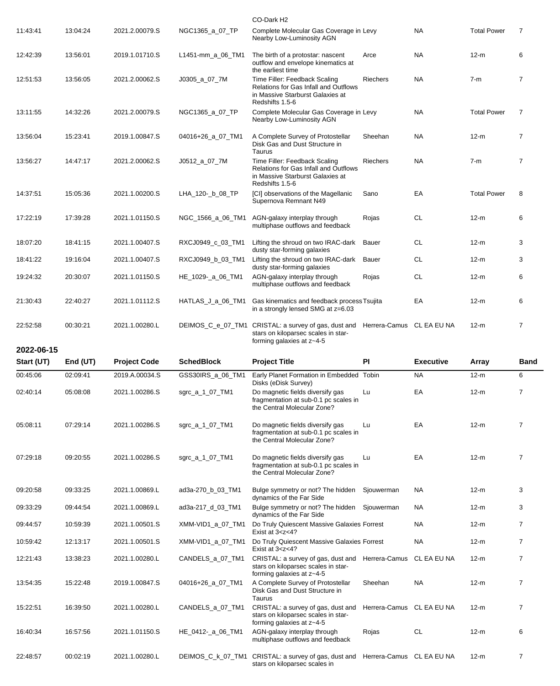| <b>NA</b><br>2021.2.00079.S<br>NGC1365_a_07_TP<br><b>Total Power</b><br>11:43:41<br>13:04:24<br>Complete Molecular Gas Coverage in Levy<br>Nearby Low-Luminosity AGN<br>13:56:01<br><b>NA</b><br>$12-m$<br>12:42:39<br>2019.1.01710.S<br>L1451-mm_a_06_TM1<br>The birth of a protostar: nascent<br>Arce<br>outflow and envelope kinematics at<br>the earliest time<br>Time Filler: Feedback Scaling<br><b>NA</b><br>12:51:53<br>13:56:05<br>2021.2.00062.S<br>J0305_a_07_7M<br><b>Riechers</b><br>$7-m$<br><b>Relations for Gas Infall and Outflows</b><br>in Massive Starburst Galaxies at<br>Redshifts 1.5-6<br><b>NA</b><br><b>Total Power</b><br>13:11:55<br>14:32:26<br>2021.2.00079.S<br>NGC1365_a_07_TP<br>Complete Molecular Gas Coverage in Levy<br>Nearby Low-Luminosity AGN<br>A Complete Survey of Protostellar<br><b>NA</b><br>$12-m$<br>13:56:04<br>15:23:41<br>2019.1.00847.S<br>04016+26_a_07_TM1<br>Sheehan<br>Disk Gas and Dust Structure in<br>Taurus<br>14:47:17<br>Time Filler: Feedback Scaling<br><b>NA</b><br>13:56:27<br>2021.2.00062.S<br>J0512_a_07_7M<br><b>Riechers</b><br>$7-m$<br>Relations for Gas Infall and Outflows<br>in Massive Starburst Galaxies at<br>Redshifts 1.5-6<br>EA<br><b>Total Power</b><br>14:37:51<br>15:05:36<br>2021.1.00200.S<br>LHA_120-_b_08_TP<br>[CI] observations of the Magellanic<br>Sano<br>Supernova Remnant N49<br><b>CL</b><br>17:22:19<br>17:39:28<br>2021.1.01150.S<br>NGC_1566_a_06_TM1<br>AGN-galaxy interplay through<br>$12-m$<br>Rojas<br>multiphase outflows and feedback<br><b>CL</b><br>$12-m$<br>18:07:20<br>18:41:15<br>2021.1.00407.S<br>RXCJ0949_c_03_TM1<br>Lifting the shroud on two IRAC-dark<br>Bauer<br>dusty star-forming galaxies<br><b>CL</b><br>18:41:22<br>19:16:04<br>2021.1.00407.S<br>RXCJ0949_b_03_TM1<br>Lifting the shroud on two IRAC-dark<br><b>Bauer</b><br>$12-m$<br>dusty star-forming galaxies<br>CL<br>20:30:07<br>2021.1.01150.S<br>HE_1029-_a_06_TM1<br>AGN-galaxy interplay through<br>$12-m$<br>19:24:32<br>Rojas<br>multiphase outflows and feedback<br>EA<br>2021.1.01112.S<br>HATLAS_J_a_06_TM1<br>Gas kinematics and feedback process Tsujita<br>$12-m$<br>21:30:43<br>22:40:27<br>in a strongly lensed SMG at z=6.03<br>22:52:58<br>00:30:21<br>2021.1.00280.L<br>DEIMOS_C_e_07_TM1 CRISTAL: a survey of gas, dust and<br>Herrera-Camus CL EA EU NA<br>$12-m$<br>stars on kiloparsec scales in star-<br>forming galaxies at z~4-5<br>2022-06-15 | <b>Band</b>    | Array | <b>Executive</b> | <b>PI</b> | <b>Project Title</b> | <b>SchedBlock</b> | <b>Project Code</b> | End (UT) | Start (UT) |
|----------------------------------------------------------------------------------------------------------------------------------------------------------------------------------------------------------------------------------------------------------------------------------------------------------------------------------------------------------------------------------------------------------------------------------------------------------------------------------------------------------------------------------------------------------------------------------------------------------------------------------------------------------------------------------------------------------------------------------------------------------------------------------------------------------------------------------------------------------------------------------------------------------------------------------------------------------------------------------------------------------------------------------------------------------------------------------------------------------------------------------------------------------------------------------------------------------------------------------------------------------------------------------------------------------------------------------------------------------------------------------------------------------------------------------------------------------------------------------------------------------------------------------------------------------------------------------------------------------------------------------------------------------------------------------------------------------------------------------------------------------------------------------------------------------------------------------------------------------------------------------------------------------------------------------------------------------------------------------------------------------------------------------------------------------------------------------------------------------------------------------------------------------------------------------------------------------------------------------------------------------------------------------------------------------------------------------------------------------------------------------------------------------------------------------------------------------------|----------------|-------|------------------|-----------|----------------------|-------------------|---------------------|----------|------------|
|                                                                                                                                                                                                                                                                                                                                                                                                                                                                                                                                                                                                                                                                                                                                                                                                                                                                                                                                                                                                                                                                                                                                                                                                                                                                                                                                                                                                                                                                                                                                                                                                                                                                                                                                                                                                                                                                                                                                                                                                                                                                                                                                                                                                                                                                                                                                                                                                                                                                |                |       |                  |           |                      |                   |                     |          |            |
|                                                                                                                                                                                                                                                                                                                                                                                                                                                                                                                                                                                                                                                                                                                                                                                                                                                                                                                                                                                                                                                                                                                                                                                                                                                                                                                                                                                                                                                                                                                                                                                                                                                                                                                                                                                                                                                                                                                                                                                                                                                                                                                                                                                                                                                                                                                                                                                                                                                                | $\overline{7}$ |       |                  |           |                      |                   |                     |          |            |
|                                                                                                                                                                                                                                                                                                                                                                                                                                                                                                                                                                                                                                                                                                                                                                                                                                                                                                                                                                                                                                                                                                                                                                                                                                                                                                                                                                                                                                                                                                                                                                                                                                                                                                                                                                                                                                                                                                                                                                                                                                                                                                                                                                                                                                                                                                                                                                                                                                                                | 6              |       |                  |           |                      |                   |                     |          |            |
|                                                                                                                                                                                                                                                                                                                                                                                                                                                                                                                                                                                                                                                                                                                                                                                                                                                                                                                                                                                                                                                                                                                                                                                                                                                                                                                                                                                                                                                                                                                                                                                                                                                                                                                                                                                                                                                                                                                                                                                                                                                                                                                                                                                                                                                                                                                                                                                                                                                                | 6              |       |                  |           |                      |                   |                     |          |            |
|                                                                                                                                                                                                                                                                                                                                                                                                                                                                                                                                                                                                                                                                                                                                                                                                                                                                                                                                                                                                                                                                                                                                                                                                                                                                                                                                                                                                                                                                                                                                                                                                                                                                                                                                                                                                                                                                                                                                                                                                                                                                                                                                                                                                                                                                                                                                                                                                                                                                | 3              |       |                  |           |                      |                   |                     |          |            |
|                                                                                                                                                                                                                                                                                                                                                                                                                                                                                                                                                                                                                                                                                                                                                                                                                                                                                                                                                                                                                                                                                                                                                                                                                                                                                                                                                                                                                                                                                                                                                                                                                                                                                                                                                                                                                                                                                                                                                                                                                                                                                                                                                                                                                                                                                                                                                                                                                                                                | 3              |       |                  |           |                      |                   |                     |          |            |
|                                                                                                                                                                                                                                                                                                                                                                                                                                                                                                                                                                                                                                                                                                                                                                                                                                                                                                                                                                                                                                                                                                                                                                                                                                                                                                                                                                                                                                                                                                                                                                                                                                                                                                                                                                                                                                                                                                                                                                                                                                                                                                                                                                                                                                                                                                                                                                                                                                                                | 6              |       |                  |           |                      |                   |                     |          |            |
|                                                                                                                                                                                                                                                                                                                                                                                                                                                                                                                                                                                                                                                                                                                                                                                                                                                                                                                                                                                                                                                                                                                                                                                                                                                                                                                                                                                                                                                                                                                                                                                                                                                                                                                                                                                                                                                                                                                                                                                                                                                                                                                                                                                                                                                                                                                                                                                                                                                                | 8              |       |                  |           |                      |                   |                     |          |            |
|                                                                                                                                                                                                                                                                                                                                                                                                                                                                                                                                                                                                                                                                                                                                                                                                                                                                                                                                                                                                                                                                                                                                                                                                                                                                                                                                                                                                                                                                                                                                                                                                                                                                                                                                                                                                                                                                                                                                                                                                                                                                                                                                                                                                                                                                                                                                                                                                                                                                | $\overline{7}$ |       |                  |           |                      |                   |                     |          |            |
|                                                                                                                                                                                                                                                                                                                                                                                                                                                                                                                                                                                                                                                                                                                                                                                                                                                                                                                                                                                                                                                                                                                                                                                                                                                                                                                                                                                                                                                                                                                                                                                                                                                                                                                                                                                                                                                                                                                                                                                                                                                                                                                                                                                                                                                                                                                                                                                                                                                                | $\overline{7}$ |       |                  |           |                      |                   |                     |          |            |
|                                                                                                                                                                                                                                                                                                                                                                                                                                                                                                                                                                                                                                                                                                                                                                                                                                                                                                                                                                                                                                                                                                                                                                                                                                                                                                                                                                                                                                                                                                                                                                                                                                                                                                                                                                                                                                                                                                                                                                                                                                                                                                                                                                                                                                                                                                                                                                                                                                                                | $\overline{7}$ |       |                  |           |                      |                   |                     |          |            |
|                                                                                                                                                                                                                                                                                                                                                                                                                                                                                                                                                                                                                                                                                                                                                                                                                                                                                                                                                                                                                                                                                                                                                                                                                                                                                                                                                                                                                                                                                                                                                                                                                                                                                                                                                                                                                                                                                                                                                                                                                                                                                                                                                                                                                                                                                                                                                                                                                                                                | $\overline{7}$ |       |                  |           |                      |                   |                     |          |            |
|                                                                                                                                                                                                                                                                                                                                                                                                                                                                                                                                                                                                                                                                                                                                                                                                                                                                                                                                                                                                                                                                                                                                                                                                                                                                                                                                                                                                                                                                                                                                                                                                                                                                                                                                                                                                                                                                                                                                                                                                                                                                                                                                                                                                                                                                                                                                                                                                                                                                | 6              |       |                  |           |                      |                   |                     |          |            |
|                                                                                                                                                                                                                                                                                                                                                                                                                                                                                                                                                                                                                                                                                                                                                                                                                                                                                                                                                                                                                                                                                                                                                                                                                                                                                                                                                                                                                                                                                                                                                                                                                                                                                                                                                                                                                                                                                                                                                                                                                                                                                                                                                                                                                                                                                                                                                                                                                                                                | $\overline{7}$ |       |                  |           |                      |                   |                     |          |            |
|                                                                                                                                                                                                                                                                                                                                                                                                                                                                                                                                                                                                                                                                                                                                                                                                                                                                                                                                                                                                                                                                                                                                                                                                                                                                                                                                                                                                                                                                                                                                                                                                                                                                                                                                                                                                                                                                                                                                                                                                                                                                                                                                                                                                                                                                                                                                                                                                                                                                |                |       |                  |           | CO-Dark H2           |                   |                     |          |            |

| 0.an (01) | Luu (01) | <b>TRANGL</b>  | <b>UUIIGUDIUUN</b> | 100001100                                                                                                                                      | . .                       | 느ㅅㄷㄴ니니>ㄷ  | Aliay  | panu           |
|-----------|----------|----------------|--------------------|------------------------------------------------------------------------------------------------------------------------------------------------|---------------------------|-----------|--------|----------------|
| 00:45:06  | 02:09:41 | 2019.A.00034.S | GSS30IRS a 06 TM1  | Early Planet Formation in Embedded Tobin<br>Disks (eDisk Survey)                                                                               |                           | <b>NA</b> | $12-m$ | 6              |
| 02:40:14  | 05:08:08 | 2021.1.00286.S | sgrc_a_1_07_TM1    | Do magnetic fields diversify gas<br>fragmentation at sub-0.1 pc scales in<br>the Central Molecular Zone?                                       | Lu                        | EA        | $12-m$ | $\overline{7}$ |
| 05:08:11  | 07:29:14 | 2021.1.00286.S | sgrc_a_1_07_TM1    | Do magnetic fields diversify gas<br>fragmentation at sub-0.1 pc scales in<br>the Central Molecular Zone?                                       | Lu                        | EA        | $12-m$ | $\overline{7}$ |
| 07:29:18  | 09:20:55 | 2021.1.00286.S | sgrc_a_1_07_TM1    | Do magnetic fields diversify gas<br>fragmentation at sub-0.1 pc scales in<br>the Central Molecular Zone?                                       | Lu                        | EA        | $12-m$ | $\overline{7}$ |
| 09:20:58  | 09:33:25 | 2021.1.00869.L | ad3a-270_b_03_TM1  | Bulge symmetry or not? The hidden<br>dynamics of the Far Side                                                                                  | Sjouwerman                | <b>NA</b> | $12-m$ | 3              |
| 09:33:29  | 09:44:54 | 2021.1.00869.L | ad3a-217_d_03_TM1  | Bulge symmetry or not? The hidden<br>dynamics of the Far Side                                                                                  | Sjouwerman                | <b>NA</b> | $12-m$ | 3              |
| 09:44:57  | 10:59:39 | 2021.1.00501.S | XMM-VID1 a 07 TM1  | Do Truly Quiescent Massive Galaxies Forrest<br>Exist at 3 <z<4?< td=""><td></td><td><b>NA</b></td><td><math>12-m</math></td><td>7</td></z<4?<> |                           | <b>NA</b> | $12-m$ | 7              |
| 10:59:42  | 12:13:17 | 2021.1.00501.S | XMM-VID1_a_07_TM1  | Do Truly Quiescent Massive Galaxies Forrest<br>Exist at $3 < z < 4$ ?                                                                          |                           | <b>NA</b> | $12-m$ | $\overline{7}$ |
| 12:21:43  | 13:38:23 | 2021.1.00280.L | CANDELS_a_07_TM1   | CRISTAL: a survey of gas, dust and<br>stars on kiloparsec scales in star-<br>forming galaxies at z~4-5                                         | Herrera-Camus CL EA EU NA |           | $12-m$ | $\overline{7}$ |
| 13:54:35  | 15:22:48 | 2019.1.00847.S | 04016+26_a_07_TM1  | A Complete Survey of Protostellar<br>Disk Gas and Dust Structure in<br>Taurus                                                                  | Sheehan                   | <b>NA</b> | $12-m$ | $\overline{7}$ |
| 15:22:51  | 16:39:50 | 2021.1.00280.L | CANDELS_a_07_TM1   | CRISTAL: a survey of gas, dust and<br>stars on kiloparsec scales in star-<br>forming galaxies at z~4-5                                         | Herrera-Camus CL EA EU NA |           | $12-m$ | 7              |
| 16:40:34  | 16:57:56 | 2021.1.01150.S | HE_0412-_a_06_TM1  | AGN-galaxy interplay through<br>multiphase outflows and feedback                                                                               | Rojas                     | <b>CL</b> | $12-m$ | 6              |
| 22:48:57  | 00:02:19 | 2021.1.00280.L | DEIMOS C k 07 TM1  | CRISTAL: a survey of gas, dust and<br>stars on kiloparsec scales in                                                                            | Herrera-Camus CL EA EU NA |           | $12-m$ | 7              |